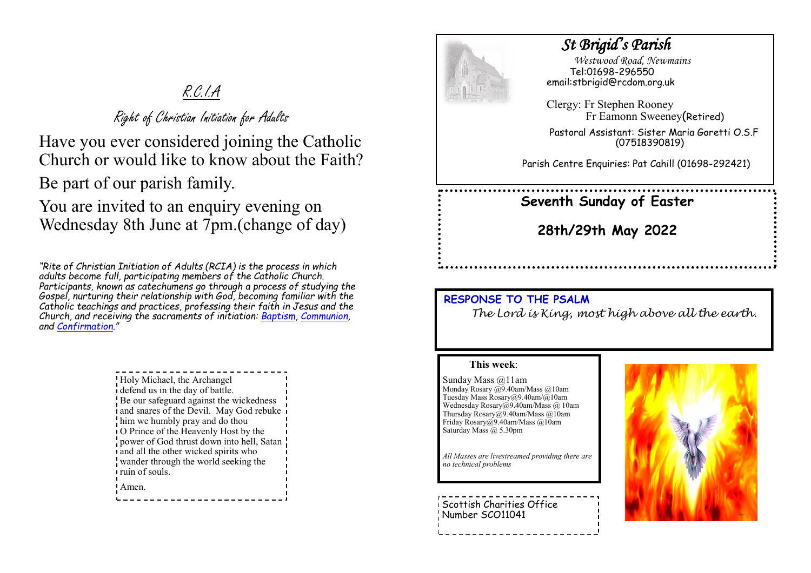# R.C.I.A

Right of Christian Initiation for Adults

Have you ever considered joining the Catholic Church or would like to know about the Faith?

Be part of our parish family.

You are invited to an enquiry evening on Wednesday 8th June at 7pm.(change of day)

*"Rite of Christian Initiation of Adults (RCIA) is the process in which adults become full, participating members of the Catholic Church. Participants, known as catechumens go through a process of studying the Gospel, nurturing their relationship with God, becoming familiar with the Catholic teachings and practices, professing their faith in Jesus and the Church, and receiving the sacraments of initiation: [Baptism,](https://www.catholicfaithstore.com/daily-bread/early-teachings-infant-baptism/) [Communion,](https://www.catholicfaithstore.com/daily-bread/eight-gift-ideas-for-first-communion/)  and [Confirmation](https://www.catholicfaithstore.com/daily-bread/7-best-gifts-one-receives-confirmation/)."* 

> Holy Michael, the Archangel defend us in the day of battle. Be our safeguard against the wickedness and snares of the Devil. May God rebuke him we humbly pray and do thou O Prince of the Heavenly Host by the power of God thrust down into hell, Satan and all the other wicked spirits who wander through the world seeking the ruin of souls. Amen.



## *St Brigid's Parish*

 *Westwood Road, Newmains* Tel:01698-296550 email:stbrigid@rcdom.org.uk

Clergy: Fr Stephen Rooney Fr Eamonn Sweeney(Retired)

Pastoral Assistant: Sister Maria Goretti O.S.F (07518390819)

Parish Centre Enquiries: Pat Cahill (01698-292421)

# **Seventh Sunday of Easter**

**28th/29th May 2022**

### **RESPONSE TO THE PSALM**

*The Lord is King, most high above all the earth.*

#### **This week**:

Sunday Mass @11am Monday Rosary @9.40am/Mass @10am Tuesday Mass Rosary@9.40am/@10am Wednesday Rosary@9.40am/Mass @ 10am Thursday Rosary@9.40am/Mass @10am Friday Rosary@9.40am/Mass @10am Saturday Mass @ 5.30pm

*All Masses are livestreamed providing there are no technical problems*

Scottish Charities Office Number SCO11041